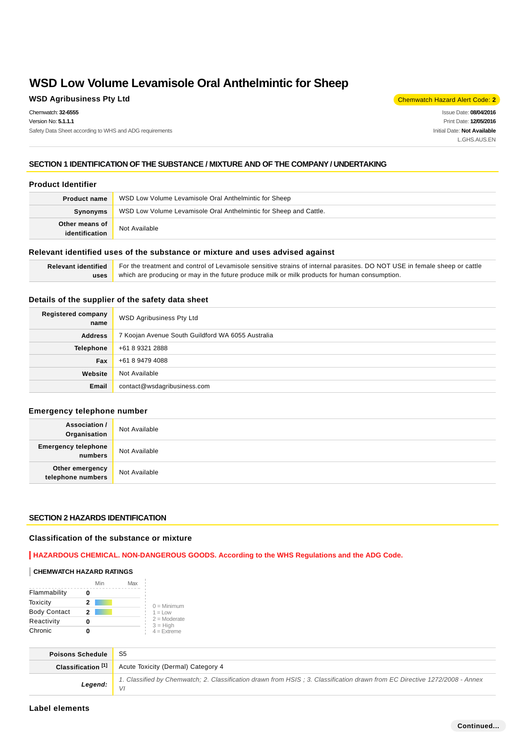## **WSD Agribusiness Pty Ltd** Chemwatch Hazard Alert Code: 2

Chemwatch: **32-6555** Version No: **5.1.1.1** Safety Data Sheet according to WHS and ADG requirements

Issue Date: **08/04/2016** Print Date: **12/05/2016** Initial Date: **Not Available** L.GHS.AUS.EN

## **SECTION 1 IDENTIFICATION OF THE SUBSTANCE / MIXTURE AND OF THE COMPANY / UNDERTAKING**

#### **Product Identifier**

| <b>Product name</b>              | WSD Low Volume Levamisole Oral Anthelmintic for Sheep             |
|----------------------------------|-------------------------------------------------------------------|
| Synonyms                         | WSD Low Volume Levamisole Oral Anthelmintic for Sheep and Cattle. |
| Other means of<br>identification | Not Available                                                     |

#### **Relevant identified uses of the substance or mixture and uses advised against**

| <b>Relevant identified</b> | For the treatment and control of Levamisole sensitive strains of internal parasites. DO NOT USE in female sheep or cattle |
|----------------------------|---------------------------------------------------------------------------------------------------------------------------|
|                            | uses which are producing or may in the future produce milk or milk products for human consumption.                        |

## **Details of the supplier of the safety data sheet**

| Registered company<br>name | WSD Agribusiness Pty Ltd                          |
|----------------------------|---------------------------------------------------|
| <b>Address</b>             | 7 Koojan Avenue South Guildford WA 6055 Australia |
| <b>Telephone</b>           | +61 8 9321 2888                                   |
| Fax                        | +61 8 9479 4088                                   |
| Website                    | Not Available                                     |
| Email                      | contact@wsdagribusiness.com                       |

## **Emergency telephone number**

| <b>Association /</b><br>Organisation    | Not Available |
|-----------------------------------------|---------------|
| <b>Emergency telephone</b><br>  numbers | Not Available |
| Other emergency<br>telephone numbers    | Not Available |

## **SECTION 2 HAZARDS IDENTIFICATION**

#### **Classification of the substance or mixture**

**HAZARDOUS CHEMICAL. NON-DANGEROUS GOODS. According to the WHS Regulations and the ADG Code.**

#### **CHEMWATCH HAZARD RATINGS**

|                     | Min | Max |                              |
|---------------------|-----|-----|------------------------------|
| Flammability        |     |     |                              |
| Toxicity            | 2   |     | $0 =$ Minimum                |
| <b>Body Contact</b> | 2   |     | $1 = Low$                    |
| Reactivity          | o   |     | $2 =$ Moderate<br>$3 = High$ |
| Chronic             |     |     | $4 =$ Extreme                |

| <b>Poisons Schedule</b>             |                                                                                                                            |
|-------------------------------------|----------------------------------------------------------------------------------------------------------------------------|
|                                     | <b>Classification [1]</b> Acute Toxicity (Dermal) Category 4                                                               |
| <b>Legend:</b> $\frac{1}{\sqrt{1}}$ | 1. Classified by Chemwatch; 2. Classification drawn from HSIS; 3. Classification drawn from EC Directive 1272/2008 - Annex |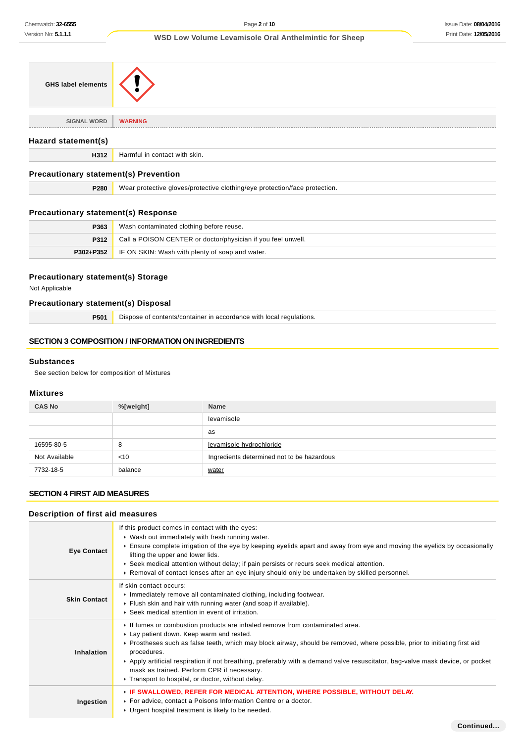**Continued...**

## **WSD Low Volume Levamisole Oral Anthelmintic for Sheep**

| <b>GHS label elements</b>                    |                                                                            |  |
|----------------------------------------------|----------------------------------------------------------------------------|--|
| <b>SIGNAL WORD</b>                           | <b>WARNING</b>                                                             |  |
|                                              |                                                                            |  |
| Hazard statement(s)                          |                                                                            |  |
| H312                                         | Harmful in contact with skin.                                              |  |
| <b>Precautionary statement(s) Prevention</b> |                                                                            |  |
| P280                                         | Wear protective gloves/protective clothing/eye protection/face protection. |  |

## **Precautionary statement(s) Response**

| P363      | Wash contaminated clothing before reuse.                     |
|-----------|--------------------------------------------------------------|
| P312      | Call a POISON CENTER or doctor/physician if you feel unwell. |
| P302+P352 | I IF ON SKIN: Wash with plenty of soap and water.            |

## **Precautionary statement(s) Storage**

Not Applicable

## **Precautionary statement(s) Disposal**

**P501** Dispose of contents/container in accordance with local regulations.

## **SECTION 3 COMPOSITION / INFORMATION ON INGREDIENTS**

### **Substances**

See section below for composition of Mixtures

## **Mixtures**

| <b>CAS No</b> | %[weight] | <b>Name</b>                                |
|---------------|-----------|--------------------------------------------|
|               |           | levamisole                                 |
|               |           | as                                         |
| 16595-80-5    | 8         | levamisole hydrochloride                   |
| Not Available | $<$ 10    | Ingredients determined not to be hazardous |
| 7732-18-5     | balance   | water                                      |

### **SECTION 4 FIRST AID MEASURES**

### **Description of first aid measures**

| <b>Eye Contact</b>  | If this product comes in contact with the eyes:<br>• Wash out immediately with fresh running water.<br>Ensure complete irrigation of the eye by keeping eyelids apart and away from eye and moving the eyelids by occasionally<br>lifting the upper and lower lids.<br>► Seek medical attention without delay; if pain persists or recurs seek medical attention.<br>► Removal of contact lenses after an eye injury should only be undertaken by skilled personnel.                                   |
|---------------------|--------------------------------------------------------------------------------------------------------------------------------------------------------------------------------------------------------------------------------------------------------------------------------------------------------------------------------------------------------------------------------------------------------------------------------------------------------------------------------------------------------|
| <b>Skin Contact</b> | If skin contact occurs:<br>Immediately remove all contaminated clothing, including footwear.<br>Flush skin and hair with running water (and soap if available).<br>▶ Seek medical attention in event of irritation.                                                                                                                                                                                                                                                                                    |
| <b>Inhalation</b>   | If fumes or combustion products are inhaled remove from contaminated area.<br>Lay patient down. Keep warm and rested.<br>► Prostheses such as false teeth, which may block airway, should be removed, where possible, prior to initiating first aid<br>procedures.<br>► Apply artificial respiration if not breathing, preferably with a demand valve resuscitator, bag-valve mask device, or pocket<br>mask as trained. Perform CPR if necessary.<br>Transport to hospital, or doctor, without delay. |
| Ingestion           | ▶ IF SWALLOWED, REFER FOR MEDICAL ATTENTION, WHERE POSSIBLE, WITHOUT DELAY.<br>▶ For advice, contact a Poisons Information Centre or a doctor.<br>► Urgent hospital treatment is likely to be needed.                                                                                                                                                                                                                                                                                                  |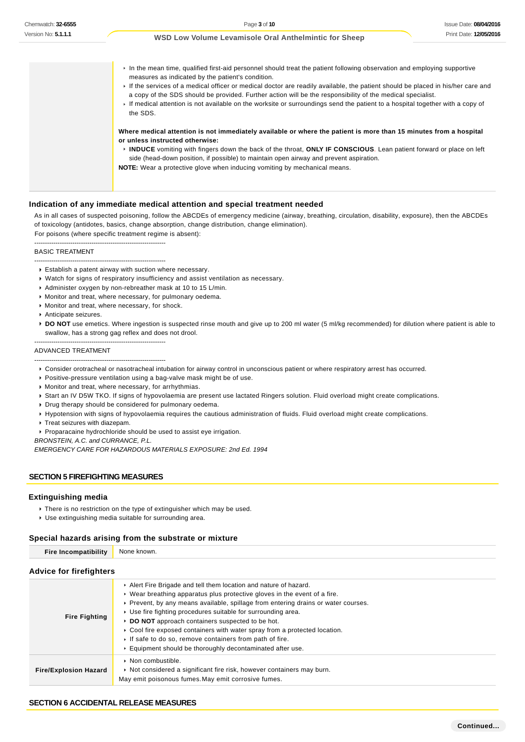In the mean time, qualified first-aid personnel should treat the patient following observation and employing supportive measures as indicated by the patient's condition. If the services of a medical officer or medical doctor are readily available, the patient should be placed in his/her care and a copy of the SDS should be provided. Further action will be the responsibility of the medical specialist. If medical attention is not available on the worksite or surroundings send the patient to a hospital together with a copy of the SDS. **Where medical attention is not immediately available or where the patient is more than 15 minutes from a hospital or unless instructed otherwise: INDUCE** vomiting with fingers down the back of the throat, **ONLY IF CONSCIOUS**. Lean patient forward or place on left side (head-down position, if possible) to maintain open airway and prevent aspiration. **NOTE:** Wear a protective glove when inducing vomiting by mechanical means.

#### **Indication of any immediate medical attention and special treatment needed**

As in all cases of suspected poisoning, follow the ABCDEs of emergency medicine (airway, breathing, circulation, disability, exposure), then the ABCDEs of toxicology (antidotes, basics, change absorption, change distribution, change elimination). For poisons (where specific treatment regime is absent):

--------------------------------------------------------------

--------------------------------------------------------------

#### BASIC TREATMENT

- Establish a patent airway with suction where necessary.
- Watch for signs of respiratory insufficiency and assist ventilation as necessary.
- Administer oxygen by non-rebreather mask at 10 to 15 L/min.
- Monitor and treat, where necessary, for pulmonary oedema.
- **Monitor and treat, where necessary, for shock.**
- Anticipate seizures.
- **▶ DO NOT** use emetics. Where ingestion is suspected rinse mouth and give up to 200 ml water (5 ml/kg recommended) for dilution where patient is able to swallow, has a strong gag reflex and does not drool.

#### ADVANCED TREATMENT

--------------------------------------------------------------

--------------------------------------------------------------

Consider orotracheal or nasotracheal intubation for airway control in unconscious patient or where respiratory arrest has occurred.

Positive-pressure ventilation using a bag-valve mask might be of use.

- Monitor and treat, where necessary, for arrhythmias.
- Start an IV D5W TKO. If signs of hypovolaemia are present use lactated Ringers solution. Fluid overload might create complications.
- Drug therapy should be considered for pulmonary oedema.
- Hypotension with signs of hypovolaemia requires the cautious administration of fluids. Fluid overload might create complications.
- **Treat seizures with diazepam.**

Proparacaine hydrochloride should be used to assist eye irrigation.

BRONSTEIN, A.C. and CURRANCE, P.L.

EMERGENCY CARE FOR HAZARDOUS MATERIALS EXPOSURE: 2nd Ed. 1994

#### **SECTION 5 FIREFIGHTING MEASURES**

#### **Extinguishing media**

**There is no restriction on the type of extinguisher which may be used.** Use extinguishing media suitable for surrounding area.

#### **Special hazards arising from the substrate or mixture**

| <b>Fire Incompatibility</b>    | None known.                                                                        |  |
|--------------------------------|------------------------------------------------------------------------------------|--|
| <b>Advice for firefighters</b> |                                                                                    |  |
|                                | Alert Fire Brigade and tell them location and nature of hazard.                    |  |
|                                | ► Wear breathing apparatus plus protective gloves in the event of a fire.          |  |
|                                | ► Prevent, by any means available, spillage from entering drains or water courses. |  |

- Use fire fighting procedures suitable for surrounding area.
- **Fire Fighting DO NOT** approach containers suspected to be hot.
	- ▶ Cool fire exposed containers with water spray from a protected location.
	- $\blacktriangleright$  If safe to do so, remove containers from path of fire.
- Equipment should be thoroughly decontaminated after use. **Fire/Explosion Hazard**  $\cdot$  Non combustible. ▶ Not considered a significant fire risk, however containers may burn. May emit poisonous fumes.May emit corrosive fumes.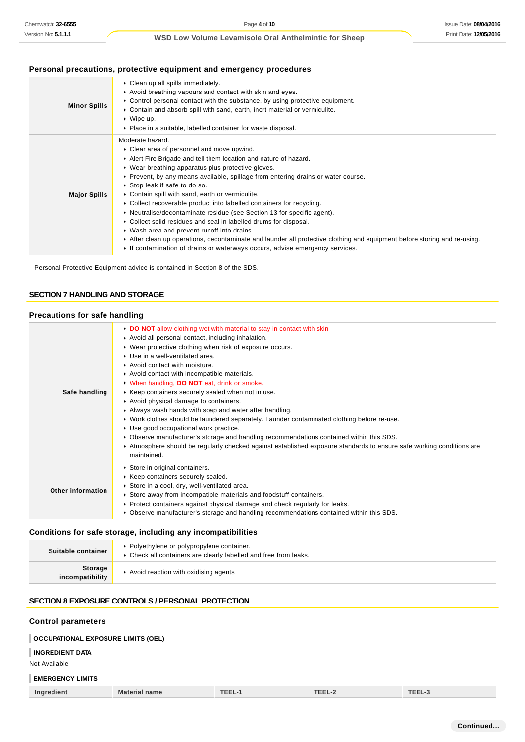## **Personal precautions, protective equipment and emergency procedures**

| <b>Minor Spills</b> | • Clean up all spills immediately.<br>Avoid breathing vapours and contact with skin and eyes.<br>$\triangleright$ Control personal contact with the substance, by using protective equipment.<br>► Contain and absorb spill with sand, earth, inert material or vermiculite.<br>$\cdot$ Wipe up.<br>• Place in a suitable, labelled container for waste disposal.                                                                                                                                                                                                                                                                                                                                                                                                                                                                                  |
|---------------------|----------------------------------------------------------------------------------------------------------------------------------------------------------------------------------------------------------------------------------------------------------------------------------------------------------------------------------------------------------------------------------------------------------------------------------------------------------------------------------------------------------------------------------------------------------------------------------------------------------------------------------------------------------------------------------------------------------------------------------------------------------------------------------------------------------------------------------------------------|
| <b>Major Spills</b> | Moderate hazard.<br>• Clear area of personnel and move upwind.<br>Alert Fire Brigade and tell them location and nature of hazard.<br>• Wear breathing apparatus plus protective gloves.<br>► Prevent, by any means available, spillage from entering drains or water course.<br>▶ Stop leak if safe to do so.<br>• Contain spill with sand, earth or vermiculite.<br>• Collect recoverable product into labelled containers for recycling.<br>• Neutralise/decontaminate residue (see Section 13 for specific agent).<br>• Collect solid residues and seal in labelled drums for disposal.<br>• Wash area and prevent runoff into drains.<br>After clean up operations, decontaminate and launder all protective clothing and equipment before storing and re-using.<br>If contamination of drains or waterways occurs, advise emergency services. |

Personal Protective Equipment advice is contained in Section 8 of the SDS.

### **SECTION 7 HANDLING AND STORAGE**

## **Precautions for safe handling**

| Safe handling     | DO NOT allow clothing wet with material to stay in contact with skin<br>Avoid all personal contact, including inhalation.<br>▶ Wear protective clothing when risk of exposure occurs.<br>▶ Use in a well-ventilated area.<br>$\triangleright$ Avoid contact with moisture.<br>Avoid contact with incompatible materials.<br>V When handling, DO NOT eat, drink or smoke.<br>▶ Keep containers securely sealed when not in use.<br>Avoid physical damage to containers.<br>Always wash hands with soap and water after handling.<br>► Work clothes should be laundered separately. Launder contaminated clothing before re-use.<br>Use good occupational work practice.<br>▶ Observe manufacturer's storage and handling recommendations contained within this SDS.<br>▶ Atmosphere should be regularly checked against established exposure standards to ensure safe working conditions are<br>maintained. |
|-------------------|------------------------------------------------------------------------------------------------------------------------------------------------------------------------------------------------------------------------------------------------------------------------------------------------------------------------------------------------------------------------------------------------------------------------------------------------------------------------------------------------------------------------------------------------------------------------------------------------------------------------------------------------------------------------------------------------------------------------------------------------------------------------------------------------------------------------------------------------------------------------------------------------------------|
| Other information | Store in original containers.<br>▶ Keep containers securely sealed.<br>Store in a cool, dry, well-ventilated area.<br>Store away from incompatible materials and foodstuff containers.<br>▶ Protect containers against physical damage and check regularly for leaks.<br>► Observe manufacturer's storage and handling recommendations contained within this SDS.                                                                                                                                                                                                                                                                                                                                                                                                                                                                                                                                          |
|                   |                                                                                                                                                                                                                                                                                                                                                                                                                                                                                                                                                                                                                                                                                                                                                                                                                                                                                                            |

## **Conditions for safe storage, including any incompatibilities**

| Suitable container         | • Polyethylene or polypropylene container.<br>• Check all containers are clearly labelled and free from leaks. |  |  |
|----------------------------|----------------------------------------------------------------------------------------------------------------|--|--|
| Storage<br>incompatibility | Avoid reaction with oxidising agents                                                                           |  |  |

## **SECTION 8 EXPOSURE CONTROLS / PERSONAL PROTECTION**

## **Control parameters**

## **OCCUPATIONAL EXPOSURE LIMITS (OEL)**

## **INGREDIENT DATA**

Not Available

### **EMERGENCY LIMITS**

| Ingredient | <b>Material name</b> | TE!<br>11 H<br>1666. | <b>TEEL</b> | ----- |
|------------|----------------------|----------------------|-------------|-------|
|------------|----------------------|----------------------|-------------|-------|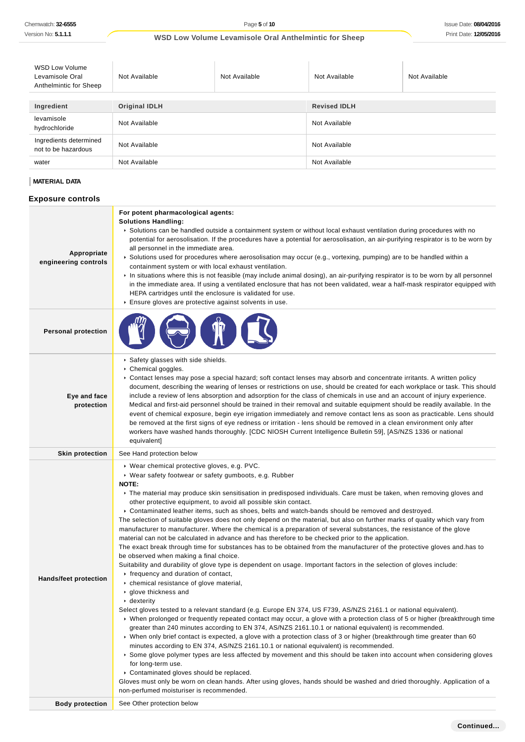| <b>WSD Low Volume</b><br>Levamisole Oral<br>Anthelmintic for Sheep | Not Available        | Not Available | Not Available       | Not Available |
|--------------------------------------------------------------------|----------------------|---------------|---------------------|---------------|
|                                                                    |                      |               |                     |               |
| Ingredient                                                         | <b>Original IDLH</b> |               | <b>Revised IDLH</b> |               |
| levamisole<br>hydrochloride                                        | Not Available        |               | Not Available       |               |
| Ingredients determined<br>not to be hazardous                      | Not Available        |               | Not Available       |               |
| water                                                              | Not Available        |               | Not Available       |               |

## **MATERIAL DATA**

## **Exposure controls**

| Appropriate<br>engineering controls | For potent pharmacological agents:<br><b>Solutions Handling:</b><br>► Solutions can be handled outside a containment system or without local exhaust ventilation during procedures with no<br>potential for aerosolisation. If the procedures have a potential for aerosolisation, an air-purifying respirator is to be worn by<br>all personnel in the immediate area.<br>▶ Solutions used for procedures where aerosolisation may occur (e.g., vortexing, pumping) are to be handled within a<br>containment system or with local exhaust ventilation.<br>In situations where this is not feasible (may include animal dosing), an air-purifying respirator is to be worn by all personnel<br>in the immediate area. If using a ventilated enclosure that has not been validated, wear a half-mask respirator equipped with<br>HEPA cartridges until the enclosure is validated for use.<br>Ensure gloves are protective against solvents in use.                                                                                                                                                                                                                                                                                                                                                                                                                                                                                                                                                                                                                                                                                                                                                                                                                                                                                                                                                                                                                                                                                                                                                                                                                      |
|-------------------------------------|--------------------------------------------------------------------------------------------------------------------------------------------------------------------------------------------------------------------------------------------------------------------------------------------------------------------------------------------------------------------------------------------------------------------------------------------------------------------------------------------------------------------------------------------------------------------------------------------------------------------------------------------------------------------------------------------------------------------------------------------------------------------------------------------------------------------------------------------------------------------------------------------------------------------------------------------------------------------------------------------------------------------------------------------------------------------------------------------------------------------------------------------------------------------------------------------------------------------------------------------------------------------------------------------------------------------------------------------------------------------------------------------------------------------------------------------------------------------------------------------------------------------------------------------------------------------------------------------------------------------------------------------------------------------------------------------------------------------------------------------------------------------------------------------------------------------------------------------------------------------------------------------------------------------------------------------------------------------------------------------------------------------------------------------------------------------------------------------------------------------------------------------------------------------------|
| <b>Personal protection</b>          |                                                                                                                                                                                                                                                                                                                                                                                                                                                                                                                                                                                                                                                                                                                                                                                                                                                                                                                                                                                                                                                                                                                                                                                                                                                                                                                                                                                                                                                                                                                                                                                                                                                                                                                                                                                                                                                                                                                                                                                                                                                                                                                                                                          |
| Eye and face<br>protection          | Safety glasses with side shields.<br>▶ Chemical goggles.<br>► Contact lenses may pose a special hazard; soft contact lenses may absorb and concentrate irritants. A written policy<br>document, describing the wearing of lenses or restrictions on use, should be created for each workplace or task. This should<br>include a review of lens absorption and adsorption for the class of chemicals in use and an account of injury experience.<br>Medical and first-aid personnel should be trained in their removal and suitable equipment should be readily available. In the<br>event of chemical exposure, begin eye irrigation immediately and remove contact lens as soon as practicable. Lens should<br>be removed at the first signs of eye redness or irritation - lens should be removed in a clean environment only after<br>workers have washed hands thoroughly. [CDC NIOSH Current Intelligence Bulletin 59], [AS/NZS 1336 or national<br>equivalent]                                                                                                                                                                                                                                                                                                                                                                                                                                                                                                                                                                                                                                                                                                                                                                                                                                                                                                                                                                                                                                                                                                                                                                                                     |
| <b>Skin protection</b>              | See Hand protection below                                                                                                                                                                                                                                                                                                                                                                                                                                                                                                                                                                                                                                                                                                                                                                                                                                                                                                                                                                                                                                                                                                                                                                                                                                                                                                                                                                                                                                                                                                                                                                                                                                                                                                                                                                                                                                                                                                                                                                                                                                                                                                                                                |
| Hands/feet protection               | ▶ Wear chemical protective gloves, e.g. PVC.<br>▶ Wear safety footwear or safety gumboots, e.g. Rubber<br>NOTE:<br>▶ The material may produce skin sensitisation in predisposed individuals. Care must be taken, when removing gloves and<br>other protective equipment, to avoid all possible skin contact.<br>▶ Contaminated leather items, such as shoes, belts and watch-bands should be removed and destroyed.<br>The selection of suitable gloves does not only depend on the material, but also on further marks of quality which vary from<br>manufacturer to manufacturer. Where the chemical is a preparation of several substances, the resistance of the glove<br>material can not be calculated in advance and has therefore to be checked prior to the application.<br>The exact break through time for substances has to be obtained from the manufacturer of the protective gloves and has to<br>be observed when making a final choice.<br>Suitability and durability of glove type is dependent on usage. Important factors in the selection of gloves include:<br>Firequency and duration of contact,<br>• chemical resistance of glove material,<br>▶ glove thickness and<br>$\cdot$ dexterity<br>Select gloves tested to a relevant standard (e.g. Europe EN 374, US F739, AS/NZS 2161.1 or national equivalent).<br>▶ When prolonged or frequently repeated contact may occur, a glove with a protection class of 5 or higher (breakthrough time<br>greater than 240 minutes according to EN 374, AS/NZS 2161.10.1 or national equivalent) is recommended.<br>• When only brief contact is expected, a glove with a protection class of 3 or higher (breakthrough time greater than 60<br>minutes according to EN 374, AS/NZS 2161.10.1 or national equivalent) is recommended.<br>Some glove polymer types are less affected by movement and this should be taken into account when considering gloves<br>for long-term use.<br>Contaminated gloves should be replaced.<br>Gloves must only be worn on clean hands. After using gloves, hands should be washed and dried thoroughly. Application of a<br>non-perfumed moisturiser is recommended. |
| <b>Body protection</b>              | See Other protection below                                                                                                                                                                                                                                                                                                                                                                                                                                                                                                                                                                                                                                                                                                                                                                                                                                                                                                                                                                                                                                                                                                                                                                                                                                                                                                                                                                                                                                                                                                                                                                                                                                                                                                                                                                                                                                                                                                                                                                                                                                                                                                                                               |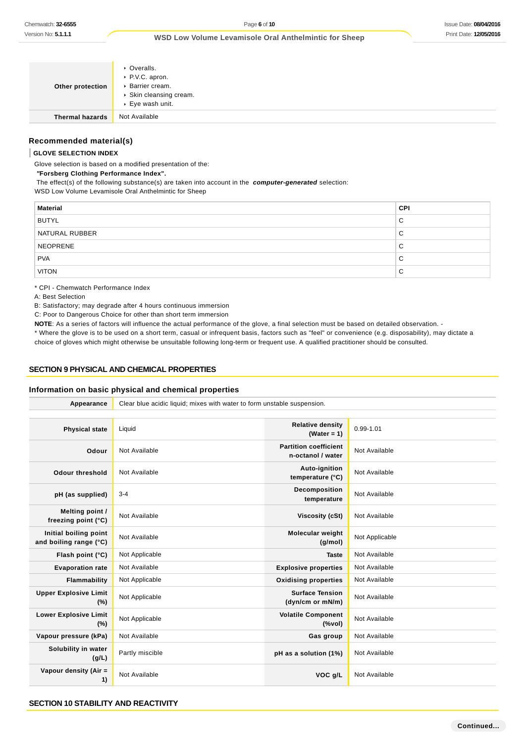| Other protection       | • Overalls.<br>▶ P.V.C. apron.<br>▶ Barrier cream.<br>▶ Skin cleansing cream.<br>▶ Eye wash unit. |
|------------------------|---------------------------------------------------------------------------------------------------|
| <b>Thermal hazards</b> | Not Available                                                                                     |

## **Recommended material(s)**

### **GLOVE SELECTION INDEX**

Glove selection is based on a modified presentation of the:

#### **"Forsberg Clothing Performance Index".**

The effect(s) of the following substance(s) are taken into account in the **computer-generated** selection:

WSD Low Volume Levamisole Oral Anthelmintic for Sheep

| <b>Material</b> | <b>CPI</b> |
|-----------------|------------|
| <b>BUTYL</b>    | C          |
| NATURAL RUBBER  | С          |
| <b>NEOPRENE</b> | С          |
| <b>PVA</b>      | С          |
| <b>VITON</b>    | С          |

\* CPI - Chemwatch Performance Index

A: Best Selection

B: Satisfactory; may degrade after 4 hours continuous immersion

C: Poor to Dangerous Choice for other than short term immersion

**NOTE**: As a series of factors will influence the actual performance of the glove, a final selection must be based on detailed observation. -

\* Where the glove is to be used on a short term, casual or infrequent basis, factors such as "feel" or convenience (e.g. disposability), may dictate a choice of gloves which might otherwise be unsuitable following long-term or frequent use. A qualified practitioner should be consulted.

#### **SECTION 9 PHYSICAL AND CHEMICAL PROPERTIES**

### **Information on basic physical and chemical properties**

| Appearance                                      | Clear blue acidic liquid; mixes with water to form unstable suspension. |                                                   |                |  |
|-------------------------------------------------|-------------------------------------------------------------------------|---------------------------------------------------|----------------|--|
|                                                 |                                                                         |                                                   |                |  |
| <b>Physical state</b>                           | Liquid                                                                  | <b>Relative density</b><br>(Water = $1$ )         | $0.99 - 1.01$  |  |
| Odour                                           | Not Available                                                           | <b>Partition coefficient</b><br>n-octanol / water | Not Available  |  |
| <b>Odour threshold</b>                          | Not Available                                                           | Auto-ignition<br>temperature (°C)                 | Not Available  |  |
| pH (as supplied)                                | $3 - 4$                                                                 | Decomposition<br>temperature                      | Not Available  |  |
| Melting point /<br>freezing point (°C)          | Not Available                                                           | Viscosity (cSt)                                   | Not Available  |  |
| Initial boiling point<br>and boiling range (°C) | Not Available                                                           | Molecular weight<br>(g/mol)                       | Not Applicable |  |
| Flash point (°C)                                | Not Applicable                                                          | <b>Taste</b>                                      | Not Available  |  |
| <b>Evaporation rate</b>                         | Not Available                                                           | <b>Explosive properties</b>                       | Not Available  |  |
| Flammability                                    | Not Applicable                                                          | <b>Oxidising properties</b>                       | Not Available  |  |
| <b>Upper Explosive Limit</b><br>(%)             | Not Applicable                                                          | <b>Surface Tension</b><br>(dyn/cm or mN/m)        | Not Available  |  |
| <b>Lower Explosive Limit</b><br>(%)             | Not Applicable                                                          | <b>Volatile Component</b><br>(%                   | Not Available  |  |
| Vapour pressure (kPa)                           | Not Available                                                           | Gas group                                         | Not Available  |  |
| Solubility in water<br>(g/L)                    | Partly miscible                                                         | pH as a solution (1%)                             | Not Available  |  |
| Vapour density (Air =<br>1)                     | Not Available                                                           | VOC g/L                                           | Not Available  |  |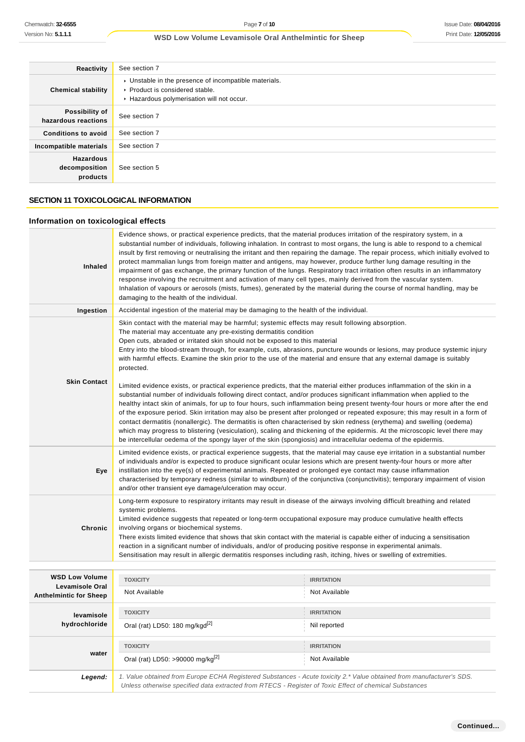| Reactivity                                    | See section 7                                                                                                                          |
|-----------------------------------------------|----------------------------------------------------------------------------------------------------------------------------------------|
| <b>Chemical stability</b>                     | • Unstable in the presence of incompatible materials.<br>▶ Product is considered stable.<br>▶ Hazardous polymerisation will not occur. |
| Possibility of<br>hazardous reactions         | See section 7                                                                                                                          |
| <b>Conditions to avoid</b>                    | See section 7                                                                                                                          |
| Incompatible materials                        | See section 7                                                                                                                          |
| <b>Hazardous</b><br>decomposition<br>products | See section 5                                                                                                                          |

## **SECTION 11 TOXICOLOGICAL INFORMATION**

## **Information on toxicological effects**

| <b>Inhaled</b>                                  | Evidence shows, or practical experience predicts, that the material produces irritation of the respiratory system, in a<br>substantial number of individuals, following inhalation. In contrast to most organs, the lung is able to respond to a chemical<br>insult by first removing or neutralising the irritant and then repairing the damage. The repair process, which initially evolved to<br>protect mammalian lungs from foreign matter and antigens, may however, produce further lung damage resulting in the<br>impairment of gas exchange, the primary function of the lungs. Respiratory tract irritation often results in an inflammatory<br>response involving the recruitment and activation of many cell types, mainly derived from the vascular system.<br>Inhalation of vapours or aerosols (mists, fumes), generated by the material during the course of normal handling, may be<br>damaging to the health of the individual. |                   |  |  |
|-------------------------------------------------|----------------------------------------------------------------------------------------------------------------------------------------------------------------------------------------------------------------------------------------------------------------------------------------------------------------------------------------------------------------------------------------------------------------------------------------------------------------------------------------------------------------------------------------------------------------------------------------------------------------------------------------------------------------------------------------------------------------------------------------------------------------------------------------------------------------------------------------------------------------------------------------------------------------------------------------------------|-------------------|--|--|
| Ingestion                                       | Accidental ingestion of the material may be damaging to the health of the individual.                                                                                                                                                                                                                                                                                                                                                                                                                                                                                                                                                                                                                                                                                                                                                                                                                                                              |                   |  |  |
|                                                 | Skin contact with the material may be harmful; systemic effects may result following absorption.<br>The material may accentuate any pre-existing dermatitis condition<br>Open cuts, abraded or irritated skin should not be exposed to this material<br>Entry into the blood-stream through, for example, cuts, abrasions, puncture wounds or lesions, may produce systemic injury<br>with harmful effects. Examine the skin prior to the use of the material and ensure that any external damage is suitably<br>protected.                                                                                                                                                                                                                                                                                                                                                                                                                        |                   |  |  |
| <b>Skin Contact</b>                             | Limited evidence exists, or practical experience predicts, that the material either produces inflammation of the skin in a<br>substantial number of individuals following direct contact, and/or produces significant inflammation when applied to the<br>healthy intact skin of animals, for up to four hours, such inflammation being present twenty-four hours or more after the end<br>of the exposure period. Skin irritation may also be present after prolonged or repeated exposure; this may result in a form of<br>contact dermatitis (nonallergic). The dermatitis is often characterised by skin redness (erythema) and swelling (oedema)<br>which may progress to blistering (vesiculation), scaling and thickening of the epidermis. At the microscopic level there may<br>be intercellular oedema of the spongy layer of the skin (spongiosis) and intracellular oedema of the epidermis.                                           |                   |  |  |
| Eye                                             | Limited evidence exists, or practical experience suggests, that the material may cause eye irritation in a substantial number<br>of individuals and/or is expected to produce significant ocular lesions which are present twenty-four hours or more after<br>instillation into the eye(s) of experimental animals. Repeated or prolonged eye contact may cause inflammation<br>characterised by temporary redness (similar to windburn) of the conjunctiva (conjunctivitis); temporary impairment of vision<br>and/or other transient eye damage/ulceration may occur.                                                                                                                                                                                                                                                                                                                                                                            |                   |  |  |
| Chronic                                         | Long-term exposure to respiratory irritants may result in disease of the airways involving difficult breathing and related<br>systemic problems.<br>Limited evidence suggests that repeated or long-term occupational exposure may produce cumulative health effects<br>involving organs or biochemical systems.<br>There exists limited evidence that shows that skin contact with the material is capable either of inducing a sensitisation<br>reaction in a significant number of individuals, and/or of producing positive response in experimental animals.<br>Sensitisation may result in allergic dermatitis responses including rash, itching, hives or swelling of extremities.                                                                                                                                                                                                                                                          |                   |  |  |
|                                                 |                                                                                                                                                                                                                                                                                                                                                                                                                                                                                                                                                                                                                                                                                                                                                                                                                                                                                                                                                    |                   |  |  |
| <b>WSD Low Volume</b><br><b>Levamisole Oral</b> | <b>TOXICITY</b>                                                                                                                                                                                                                                                                                                                                                                                                                                                                                                                                                                                                                                                                                                                                                                                                                                                                                                                                    | <b>IRRITATION</b> |  |  |
| <b>Anthelmintic for Sheep</b>                   | Not Available                                                                                                                                                                                                                                                                                                                                                                                                                                                                                                                                                                                                                                                                                                                                                                                                                                                                                                                                      | Not Available     |  |  |
| levamisole                                      | <b>TOXICITY</b>                                                                                                                                                                                                                                                                                                                                                                                                                                                                                                                                                                                                                                                                                                                                                                                                                                                                                                                                    | <b>IRRITATION</b> |  |  |
| hydrochloride                                   | Oral (rat) LD50: 180 mg/kgd <sup>[2]</sup>                                                                                                                                                                                                                                                                                                                                                                                                                                                                                                                                                                                                                                                                                                                                                                                                                                                                                                         | Nil reported      |  |  |
|                                                 | <b>TOXICITY</b>                                                                                                                                                                                                                                                                                                                                                                                                                                                                                                                                                                                                                                                                                                                                                                                                                                                                                                                                    | <b>IRRITATION</b> |  |  |
| water                                           | Oral (rat) LD50: >90000 mg/kg <sup>[2]</sup>                                                                                                                                                                                                                                                                                                                                                                                                                                                                                                                                                                                                                                                                                                                                                                                                                                                                                                       | Not Available     |  |  |
| Legend:                                         | 1. Value obtained from Europe ECHA Registered Substances - Acute toxicity 2.* Value obtained from manufacturer's SDS.<br>Unless otherwise specified data extracted from RTECS - Register of Toxic Effect of chemical Substances                                                                                                                                                                                                                                                                                                                                                                                                                                                                                                                                                                                                                                                                                                                    |                   |  |  |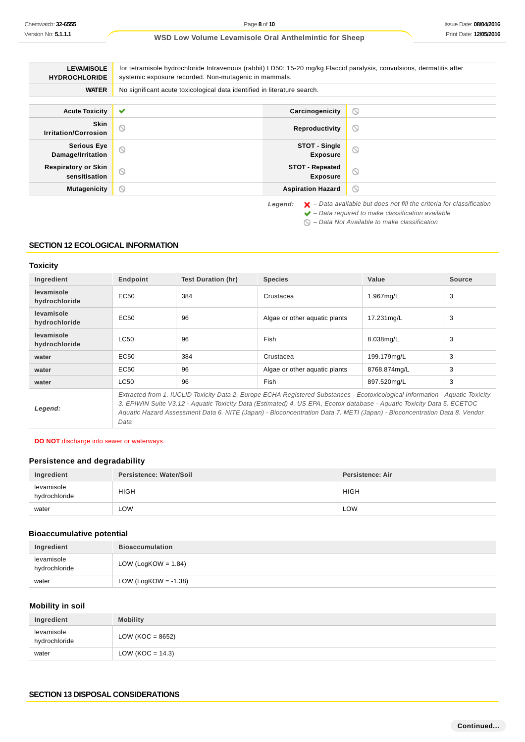| <b>LEVAMISOLE</b><br><b>HYDROCHLORIDE</b>   | for tetramisole hydrochloride Intravenous (rabbit) LD50: 15-20 mg/kg Flaccid paralysis, convulsions, dermatitis after<br>systemic exposure recorded. Non-mutagenic in mammals. |                                           |                                                                                          |  |
|---------------------------------------------|--------------------------------------------------------------------------------------------------------------------------------------------------------------------------------|-------------------------------------------|------------------------------------------------------------------------------------------|--|
| <b>WATER</b>                                | No significant acute toxicological data identified in literature search.                                                                                                       |                                           |                                                                                          |  |
|                                             |                                                                                                                                                                                |                                           |                                                                                          |  |
| <b>Acute Toxicity</b>                       | $\checkmark$                                                                                                                                                                   | Carcinogenicity                           | $\circ$                                                                                  |  |
| <b>Skin</b><br><b>Irritation/Corrosion</b>  | $\circledcirc$                                                                                                                                                                 | Reproductivity                            | $\circ$                                                                                  |  |
| <b>Serious Eye</b><br>Damage/Irritation     | $\odot$                                                                                                                                                                        | STOT - Single<br><b>Exposure</b>          | $\circ$                                                                                  |  |
| <b>Respiratory or Skin</b><br>sensitisation | $\odot$                                                                                                                                                                        | <b>STOT - Repeated</b><br><b>Exposure</b> | $\circ$                                                                                  |  |
| <b>Mutagenicity</b>                         | $\circ$                                                                                                                                                                        | <b>Aspiration Hazard</b>                  | $\circledcirc$                                                                           |  |
|                                             |                                                                                                                                                                                | Legend:                                   | $\blacktriangleright$ – Data available but does not fill the criteria for classification |  |

 $\blacktriangleright$  – Data required to make classification available

 $\bigcirc$  – Data Not Available to make classification

## **SECTION 12 ECOLOGICAL INFORMATION**

## **Toxicity**

| Ingredient                  | Endpoint                                                                                                                                                                                                                                                                                                                                                                                    | <b>Test Duration (hr)</b> | <b>Species</b>                | Value        | Source |
|-----------------------------|---------------------------------------------------------------------------------------------------------------------------------------------------------------------------------------------------------------------------------------------------------------------------------------------------------------------------------------------------------------------------------------------|---------------------------|-------------------------------|--------------|--------|
| levamisole<br>hydrochloride | EC <sub>50</sub>                                                                                                                                                                                                                                                                                                                                                                            | 384                       | Crustacea                     | 1.967mg/L    | 3      |
| levamisole<br>hydrochloride | EC <sub>50</sub>                                                                                                                                                                                                                                                                                                                                                                            | 96                        | Algae or other aquatic plants | 17.231mg/L   | 3      |
| levamisole<br>hydrochloride | <b>LC50</b>                                                                                                                                                                                                                                                                                                                                                                                 | 96                        | Fish                          | 8.038mg/L    | 3      |
| water                       | EC50                                                                                                                                                                                                                                                                                                                                                                                        | 384                       | Crustacea                     | 199.179mg/L  | 3      |
| water                       | EC50                                                                                                                                                                                                                                                                                                                                                                                        | 96                        | Algae or other aguatic plants | 8768.874mg/L | 3      |
| water                       | LC50                                                                                                                                                                                                                                                                                                                                                                                        | 96                        | Fish                          | 897.520mg/L  | 3      |
| Legend:                     | Extracted from 1. IUCLID Toxicity Data 2. Europe ECHA Registered Substances - Ecotoxicological Information - Aquatic Toxicity<br>3. EPIWIN Suite V3.12 - Aquatic Toxicity Data (Estimated) 4. US EPA, Ecotox database - Aquatic Toxicity Data 5. ECETOC<br>Aquatic Hazard Assessment Data 6. NITE (Japan) - Bioconcentration Data 7. METI (Japan) - Bioconcentration Data 8. Vendor<br>Data |                           |                               |              |        |

**DO NOT** discharge into sewer or waterways.

## **Persistence and degradability**

| Ingredient                  | Persistence: Water/Soil | Persistence: Air |
|-----------------------------|-------------------------|------------------|
| levamisole<br>hydrochloride | <b>HIGH</b>             | <b>HIGH</b>      |
| water                       | LOW                     | <b>LOW</b>       |

### **Bioaccumulative potential**

| Ingredient                  | <b>Bioaccumulation</b>  |
|-----------------------------|-------------------------|
| levamisole<br>hydrochloride | LOW (LogKOW = $1.84$ )  |
| water                       | LOW (LogKOW = $-1.38$ ) |

## **Mobility in soil**

| Ingredient                  | <b>Mobility</b>      |
|-----------------------------|----------------------|
| levamisole<br>hydrochloride | LOW ( $KOC = 8652$ ) |
| water                       | LOW (KOC = $14.3$ )  |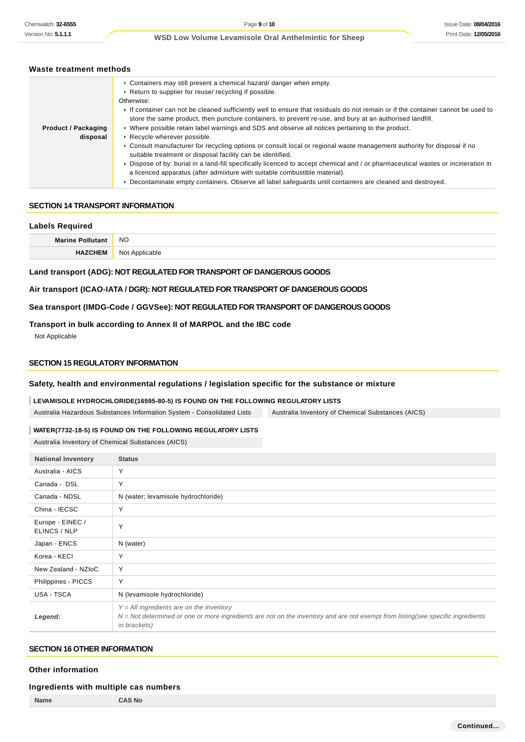### **Waste treatment methods**

|                            | ► Containers may still present a chemical hazard/ danger when empty.<br>▶ Return to supplier for reuse/ recycling if possible.<br>Otherwise:                                                                                               |  |
|----------------------------|--------------------------------------------------------------------------------------------------------------------------------------------------------------------------------------------------------------------------------------------|--|
|                            |                                                                                                                                                                                                                                            |  |
|                            | If container can not be cleaned sufficiently well to ensure that residuals do not remain or if the container cannot be used to<br>store the same product, then puncture containers, to prevent re-use, and bury at an authorised landfill. |  |
| <b>Product / Packaging</b> | ▶ Where possible retain label warnings and SDS and observe all notices pertaining to the product.                                                                                                                                          |  |
| disposal                   | Recycle wherever possible.                                                                                                                                                                                                                 |  |
|                            | ► Consult manufacturer for recycling options or consult local or regional waste management authority for disposal if no<br>suitable treatment or disposal facility can be identified.                                                      |  |
|                            | ► Dispose of by: burial in a land-fill specifically licenced to accept chemical and / or pharmaceutical wastes or incineration in<br>a licenced apparatus (after admixture with suitable combustible material).                            |  |
|                            | ▶ Decontaminate empty containers. Observe all label safequards until containers are cleaned and destroyed.                                                                                                                                 |  |

#### **SECTION 14 TRANSPORT INFORMATION**

# **Labels Required Marine Pollutant** NO **HAZCHEM** Not Applicable

#### **Land transport (ADG): NOT REGULATED FOR TRANSPORT OF DANGEROUS GOODS**

#### **Air transport (ICAO-IATA / DGR): NOT REGULATED FOR TRANSPORT OF DANGEROUS GOODS**

### **Sea transport (IMDG-Code / GGVSee): NOT REGULATED FOR TRANSPORT OF DANGEROUS GOODS**

### **Transport in bulk according to Annex II of MARPOL and the IBC code**

Not Applicable

### **SECTION 15 REGULATORY INFORMATION**

### **Safety, health and environmental regulations / legislation specific for the substance or mixture**

### **LEVAMISOLE HYDROCHLORIDE(16595-80-5) IS FOUND ON THE FOLLOWING REGULATORY LISTS**

Australia Hazardous Substances Information System - Consolidated Lists Australia Inventory of Chemical Substances (AICS)

### **WATER(7732-18-5) IS FOUND ON THE FOLLOWING REGULATORY LISTS**

Australia Inventory of Chemical Substances (AICS)

| <b>National Inventory</b>        | <b>Status</b>                                                                                                                                                                                         |
|----------------------------------|-------------------------------------------------------------------------------------------------------------------------------------------------------------------------------------------------------|
| Australia - AICS                 | Y                                                                                                                                                                                                     |
| Canada - DSL                     | Y                                                                                                                                                                                                     |
| Canada - NDSL                    | N (water; levamisole hydrochloride)                                                                                                                                                                   |
| China - IECSC                    | Y                                                                                                                                                                                                     |
| Europe - EINEC /<br>ELINCS / NLP | Y                                                                                                                                                                                                     |
| Japan - ENCS                     | N (water)                                                                                                                                                                                             |
| Korea - KECI                     | Y                                                                                                                                                                                                     |
| New Zealand - NZIoC              | Y                                                                                                                                                                                                     |
| Philippines - PICCS              | Υ                                                                                                                                                                                                     |
| USA - TSCA                       | N (levamisole hydrochloride)                                                                                                                                                                          |
| Legend:                          | $Y = All$ ingredients are on the inventory<br>N = Not determined or one or more ingredients are not on the inventory and are not exempt from listing(see specific ingredients<br><i>in brackets</i> ) |

### **SECTION 16 OTHER INFORMATION**

#### **Other information**

#### **Ingredients with multiple cas numbers**

| Name | <b>AS No</b> |
|------|--------------|
|      |              |